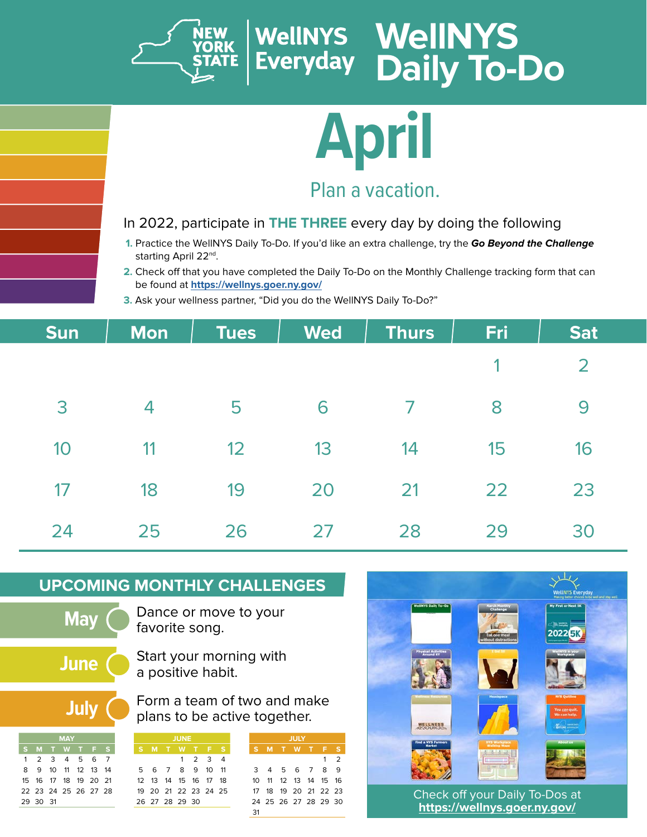

# **April**

### Plan a vacation.

#### In 2022, participate in **THE THREE** every day by doing the following

- **1.** Practice the WellNYS Daily To-Do. If you'd like an extra challenge, try the **Go Beyond the Challenge** starting April 22<sup>nd</sup>.
- **2.** Check off that you have completed the Daily To-Do on the Monthly Challenge tracking form that can be found at **<https://wellnys.goer.ny.gov/>**
- **3.** Ask your wellness partner, "Did you do the WellNYS Daily To-Do?"

| <b>Sun</b> | <b>Mon</b> | <b>Tues</b> | <b>Wed</b> | <b>Thurs</b> | Fri | <b>Sat</b> |
|------------|------------|-------------|------------|--------------|-----|------------|
|            |            |             |            |              |     | 2          |
| 3          | 4          | 5           | 6          | 7            | 8   | 9          |
| 10         | 11         | 12          | 13         | 14           | 15  | 16         |
| 17         | 18         | 19          | 20         | 21           | 22  | 23         |
| 24         | 25         | 26          | 27         | 28           | 29  | 30         |

#### **UPCOMING MONTHLY CHALLENGES**

**May**

Dance or move to your favorite song.

**June**

Start your morning with a positive habit.

**July**

**MAY S M T W T F S** 1 2 3 4 5 6 7 10 11 12 13 14 15 16 17 18 19 20 21 22 23 24 25 26 27 28

29 30 31

Form a team of two and make plans to be active together.

31

**JULY S M T W T F S**

 4 5 6 7 8 9 11 12 13 14 15 16 18 19 20 21 22 23 25 26 27 28 29 30

1 2

| JUNE |                                        |  |  |             |  |   |  |  |
|------|----------------------------------------|--|--|-------------|--|---|--|--|
|      | SMTWTF                                 |  |  |             |  | s |  |  |
|      |                                        |  |  | $1 \t2 \t3$ |  |   |  |  |
|      | 5 6 7 8 9 10 11                        |  |  |             |  |   |  |  |
|      | 12    13    14    15    16    17    18 |  |  |             |  |   |  |  |
|      | 19 20 21 22 23 24 25                   |  |  |             |  |   |  |  |
|      | 26 27 28 29 30                         |  |  |             |  |   |  |  |
|      |                                        |  |  |             |  |   |  |  |

|                                                     |                                                                                | <b>WellNYS Everyday</b><br>Making better choices to be well and stay well. |  |
|-----------------------------------------------------|--------------------------------------------------------------------------------|----------------------------------------------------------------------------|--|
| <b>WeENYS Daily To-Do</b>                           | <b>Harch Honthly</b><br>Challenge<br>Eat one meal<br><b>Rhout distractions</b> | <b>Ny First or Next SK</b><br>$\leq$ in $\equiv$<br>2022日                  |  |
| <b>Physical Activities</b><br>Around NY             | <b>1 GM IN</b>                                                                 | We WYS in your<br>Workplace                                                |  |
| Wellmann Bestowers<br><b>WELLNESS</b><br>AZ SOURCES | Headspace                                                                      | <b>NYS Quitline</b><br>You can quit.<br>We can help.<br><b>NF</b> 25       |  |
| <b>Find a NYS Farmers</b><br><b>Harket</b>          | <b>NYS Workplace</b><br>Walking Maps<br>Line (Ear)                             | About us                                                                   |  |
|                                                     | Check off your Daily To-Dos at                                                 |                                                                            |  |

**<https://wellnys.goer.ny.gov/>**